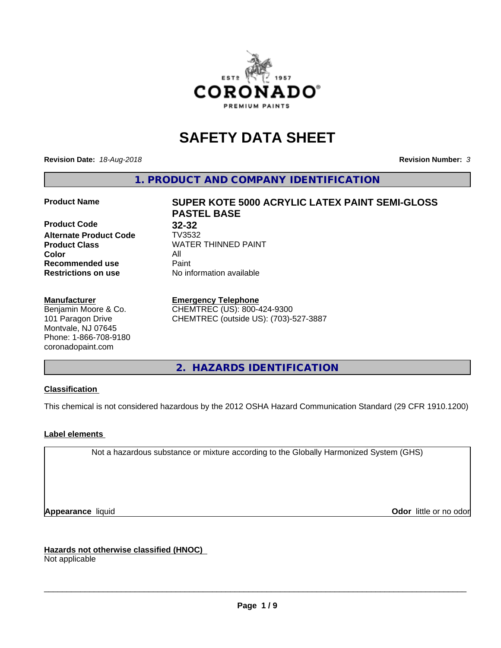

# **SAFETY DATA SHEET**

**Revision Date:** *18-Aug-2018* **Revision Number:** *3*

**1. PRODUCT AND COMPANY IDENTIFICATION**

**Product Code 32-32<br>
<b>Alternate Product Code** TV3532 **Alternate Product Code Product Class** WATER THINNED PAINT<br>
Color **Color** All **Recommended use** Paint **Restrictions on use** No information available

#### **Manufacturer**

Benjamin Moore & Co. 101 Paragon Drive Montvale, NJ 07645 Phone: 1-866-708-9180 coronadopaint.com

# **Product Name SUPER KOTE 5000 ACRYLIC LATEX PAINT SEMI-GLOSS PASTEL BASE**

#### **Emergency Telephone**

CHEMTREC (US): 800-424-9300 CHEMTREC (outside US): (703)-527-3887

**2. HAZARDS IDENTIFICATION**

#### **Classification**

This chemical is not considered hazardous by the 2012 OSHA Hazard Communication Standard (29 CFR 1910.1200)

#### **Label elements**

Not a hazardous substance or mixture according to the Globally Harmonized System (GHS)

**Appearance** liquid **Contract Contract Contract Contract Contract Contract Contract Contract Contract Contract Contract Contract Contract Contract Contract Contract Contract Contract Contract Contract Contract Contract Con** 

**Hazards not otherwise classified (HNOC)**

Not applicable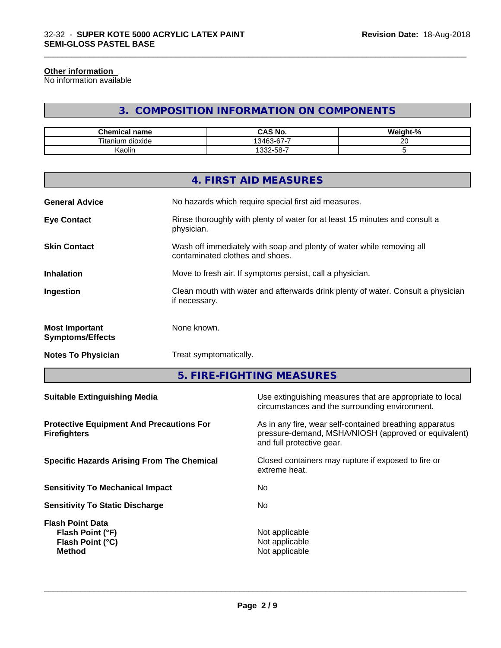#### **Other information**

No information available

# **3. COMPOSITION INFORMATION ON COMPONENTS**

\_\_\_\_\_\_\_\_\_\_\_\_\_\_\_\_\_\_\_\_\_\_\_\_\_\_\_\_\_\_\_\_\_\_\_\_\_\_\_\_\_\_\_\_\_\_\_\_\_\_\_\_\_\_\_\_\_\_\_\_\_\_\_\_\_\_\_\_\_\_\_\_\_\_\_\_\_\_\_\_\_\_\_\_\_\_\_\_\_\_\_\_\_

| Chemical<br>⊟name             | CAS No.<br>r۸                   | <br>$\sim$<br>- 70 |
|-------------------------------|---------------------------------|--------------------|
| Titaniu<br><br>dioxide<br>um. | $\sim$<br>-<br>13463<br>$3 - n$ | $\sim$ $\sim$<br>∼ |
| <br>Kaolin                    | $32-58-7$                       |                    |

|                                                  | 4. FIRST AID MEASURES                                                                                    |
|--------------------------------------------------|----------------------------------------------------------------------------------------------------------|
| <b>General Advice</b>                            | No hazards which require special first aid measures.                                                     |
| <b>Eye Contact</b>                               | Rinse thoroughly with plenty of water for at least 15 minutes and consult a<br>physician.                |
| <b>Skin Contact</b>                              | Wash off immediately with soap and plenty of water while removing all<br>contaminated clothes and shoes. |
| <b>Inhalation</b>                                | Move to fresh air. If symptoms persist, call a physician.                                                |
| Ingestion                                        | Clean mouth with water and afterwards drink plenty of water. Consult a physician<br>if necessary.        |
| <b>Most Important</b><br><b>Symptoms/Effects</b> | None known.                                                                                              |
| <b>Notes To Physician</b>                        | Treat symptomatically.                                                                                   |
|                                                  |                                                                                                          |

**5. FIRE-FIGHTING MEASURES**

| Use extinguishing measures that are appropriate to local<br>circumstances and the surrounding environment.                                   |
|----------------------------------------------------------------------------------------------------------------------------------------------|
| As in any fire, wear self-contained breathing apparatus<br>pressure-demand, MSHA/NIOSH (approved or equivalent)<br>and full protective gear. |
| Closed containers may rupture if exposed to fire or<br>extreme heat.                                                                         |
| No.                                                                                                                                          |
| No.                                                                                                                                          |
| Not applicable<br>Not applicable<br>Not applicable                                                                                           |
|                                                                                                                                              |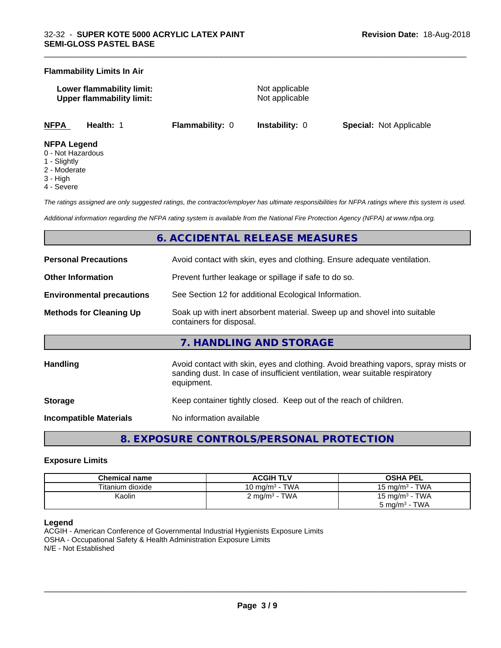#### **Flammability Limits In Air**

**Lower flammability limit:** Not applicable **Upper flammability limit:** Not applicable

\_\_\_\_\_\_\_\_\_\_\_\_\_\_\_\_\_\_\_\_\_\_\_\_\_\_\_\_\_\_\_\_\_\_\_\_\_\_\_\_\_\_\_\_\_\_\_\_\_\_\_\_\_\_\_\_\_\_\_\_\_\_\_\_\_\_\_\_\_\_\_\_\_\_\_\_\_\_\_\_\_\_\_\_\_\_\_\_\_\_\_\_\_

**NFPA Health:** 1 **Flammability:** 0 **Instability:** 0 **Special:** Not Applicable

#### **NFPA Legend**

- 0 Not Hazardous
- 1 Slightly
- 2 Moderate
- 3 High
- 4 Severe

*The ratings assigned are only suggested ratings, the contractor/employer has ultimate responsibilities for NFPA ratings where this system is used.*

*Additional information regarding the NFPA rating system is available from the National Fire Protection Agency (NFPA) at www.nfpa.org.*

## **6. ACCIDENTAL RELEASE MEASURES**

| <b>Personal Precautions</b>      | Avoid contact with skin, eyes and clothing. Ensure adequate ventilation.                                                                                                         |
|----------------------------------|----------------------------------------------------------------------------------------------------------------------------------------------------------------------------------|
| <b>Other Information</b>         | Prevent further leakage or spillage if safe to do so.                                                                                                                            |
| <b>Environmental precautions</b> | See Section 12 for additional Ecological Information.                                                                                                                            |
| <b>Methods for Cleaning Up</b>   | Soak up with inert absorbent material. Sweep up and shovel into suitable<br>containers for disposal.                                                                             |
|                                  | 7. HANDLING AND STORAGE                                                                                                                                                          |
| <b>Handling</b>                  | Avoid contact with skin, eyes and clothing. Avoid breathing vapors, spray mists or<br>sanding dust. In case of insufficient ventilation, wear suitable respiratory<br>equipment. |
| <b>Storage</b>                   | Keep container tightly closed. Keep out of the reach of children.                                                                                                                |
| <b>Incompatible Materials</b>    | No information available                                                                                                                                                         |

**8. EXPOSURE CONTROLS/PERSONAL PROTECTION**

#### **Exposure Limits**

| <b>Chemical name</b> | <b>ACGIH TLV</b>           | <b>OSHA PEL</b>          |
|----------------------|----------------------------|--------------------------|
| Titanium dioxide     | 10 mg/m <sup>3</sup> - TWA | 15 mg/m $3$ - TWA        |
| Kaolin               | $2 \text{ mg/m}^3$ - TWA   | 15 mg/m $3$ - TWA        |
|                      |                            | $5 \text{ mg/m}^3$ - TWA |

#### **Legend**

ACGIH - American Conference of Governmental Industrial Hygienists Exposure Limits OSHA - Occupational Safety & Health Administration Exposure Limits N/E - Not Established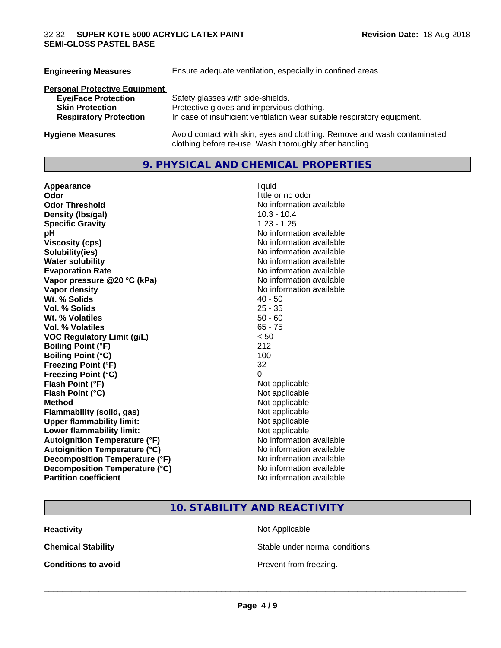| <b>Engineering Measures</b>          | Ensure adequate ventilation, especially in confined areas.                                                                          |  |  |
|--------------------------------------|-------------------------------------------------------------------------------------------------------------------------------------|--|--|
| <b>Personal Protective Equipment</b> |                                                                                                                                     |  |  |
| <b>Eye/Face Protection</b>           | Safety glasses with side-shields.                                                                                                   |  |  |
| <b>Skin Protection</b>               | Protective gloves and impervious clothing.                                                                                          |  |  |
| <b>Respiratory Protection</b>        | In case of insufficient ventilation wear suitable respiratory equipment.                                                            |  |  |
| <b>Hygiene Measures</b>              | Avoid contact with skin, eyes and clothing. Remove and wash contaminated<br>clothing before re-use. Wash thoroughly after handling. |  |  |

#### **9. PHYSICAL AND CHEMICAL PROPERTIES**

| Appearance                           | liquid                   |
|--------------------------------------|--------------------------|
| Odor                                 | little or no odor        |
| <b>Odor Threshold</b>                | No information available |
| Density (Ibs/gal)                    | $10.3 - 10.4$            |
| <b>Specific Gravity</b>              | $1.23 - 1.25$            |
| рH                                   | No information available |
| <b>Viscosity (cps)</b>               | No information available |
| Solubility(ies)                      | No information available |
| <b>Water solubility</b>              | No information available |
| <b>Evaporation Rate</b>              | No information available |
| Vapor pressure @20 °C (kPa)          | No information available |
| Vapor density                        | No information available |
| Wt. % Solids                         | $40 - 50$                |
| Vol. % Solids                        | $25 - 35$                |
| Wt. % Volatiles                      | $50 - 60$                |
| Vol. % Volatiles                     | $65 - 75$                |
| <b>VOC Regulatory Limit (g/L)</b>    | < 50                     |
| <b>Boiling Point (°F)</b>            | 212                      |
| <b>Boiling Point (°C)</b>            | 100                      |
| <b>Freezing Point (°F)</b>           | 32                       |
| <b>Freezing Point (°C)</b>           | 0                        |
| Flash Point (°F)                     | Not applicable           |
| Flash Point (°C)                     | Not applicable           |
| <b>Method</b>                        | Not applicable           |
| Flammability (solid, gas)            | Not applicable           |
| <b>Upper flammability limit:</b>     | Not applicable           |
| Lower flammability limit:            | Not applicable           |
| <b>Autoignition Temperature (°F)</b> | No information available |
| <b>Autoignition Temperature (°C)</b> | No information available |
| Decomposition Temperature (°F)       | No information available |
| Decomposition Temperature (°C)       | No information available |
| <b>Partition coefficient</b>         | No information available |

\_\_\_\_\_\_\_\_\_\_\_\_\_\_\_\_\_\_\_\_\_\_\_\_\_\_\_\_\_\_\_\_\_\_\_\_\_\_\_\_\_\_\_\_\_\_\_\_\_\_\_\_\_\_\_\_\_\_\_\_\_\_\_\_\_\_\_\_\_\_\_\_\_\_\_\_\_\_\_\_\_\_\_\_\_\_\_\_\_\_\_\_\_

**10. STABILITY AND REACTIVITY**

**Reactivity** Not Applicable

**Chemical Stability Stable under normal conditions.** 

**Conditions to avoid Conditions to avoid Prevent from freezing.**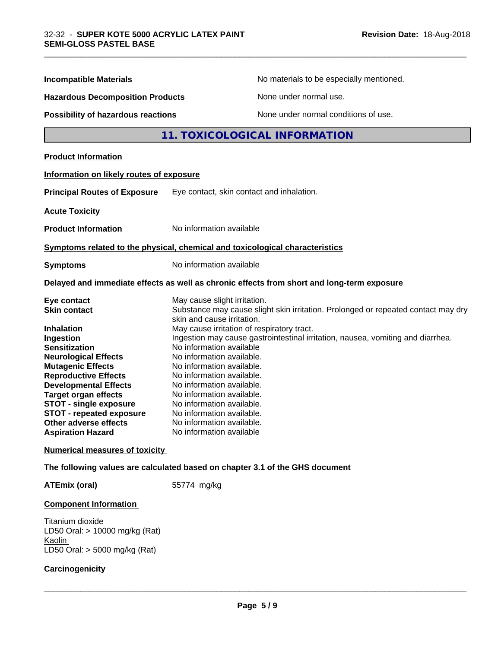| <b>Incompatible Materials</b>             | No materials to be especially mentioned.                                                                        |  |  |
|-------------------------------------------|-----------------------------------------------------------------------------------------------------------------|--|--|
|                                           |                                                                                                                 |  |  |
| <b>Hazardous Decomposition Products</b>   | None under normal use.                                                                                          |  |  |
| <b>Possibility of hazardous reactions</b> | None under normal conditions of use.                                                                            |  |  |
|                                           | 11. TOXICOLOGICAL INFORMATION                                                                                   |  |  |
| <b>Product Information</b>                |                                                                                                                 |  |  |
| Information on likely routes of exposure  |                                                                                                                 |  |  |
| <b>Principal Routes of Exposure</b>       | Eye contact, skin contact and inhalation.                                                                       |  |  |
| <b>Acute Toxicity</b>                     |                                                                                                                 |  |  |
| <b>Product Information</b>                | No information available                                                                                        |  |  |
|                                           | Symptoms related to the physical, chemical and toxicological characteristics                                    |  |  |
| <b>Symptoms</b>                           | No information available                                                                                        |  |  |
|                                           | Delayed and immediate effects as well as chronic effects from short and long-term exposure                      |  |  |
| Eye contact                               | May cause slight irritation.                                                                                    |  |  |
| <b>Skin contact</b>                       | Substance may cause slight skin irritation. Prolonged or repeated contact may dry<br>skin and cause irritation. |  |  |
| <b>Inhalation</b>                         | May cause irritation of respiratory tract.                                                                      |  |  |
| Ingestion                                 | Ingestion may cause gastrointestinal irritation, nausea, vomiting and diarrhea.                                 |  |  |
| Sensitization                             | No information available                                                                                        |  |  |
| <b>Neurological Effects</b>               | No information available.                                                                                       |  |  |
| <b>Mutagenic Effects</b>                  | No information available.                                                                                       |  |  |
| <b>Reproductive Effects</b>               | No information available.                                                                                       |  |  |
| <b>Developmental Effects</b>              | No information available.                                                                                       |  |  |
| <b>Target organ effects</b>               | No information available.                                                                                       |  |  |
| <b>STOT - single exposure</b>             | No information available.                                                                                       |  |  |
| <b>STOT - repeated exposure</b>           | No information available.                                                                                       |  |  |
| Other adverse effects                     | No information available.                                                                                       |  |  |
| <b>Aspiration Hazard</b>                  | No information available                                                                                        |  |  |
| <b>Numerical measures of toxicity</b>     |                                                                                                                 |  |  |
|                                           | The following values are calculated based on chapter 3.1 of the GHS document                                    |  |  |

\_\_\_\_\_\_\_\_\_\_\_\_\_\_\_\_\_\_\_\_\_\_\_\_\_\_\_\_\_\_\_\_\_\_\_\_\_\_\_\_\_\_\_\_\_\_\_\_\_\_\_\_\_\_\_\_\_\_\_\_\_\_\_\_\_\_\_\_\_\_\_\_\_\_\_\_\_\_\_\_\_\_\_\_\_\_\_\_\_\_\_\_\_

**ATEmix (oral)** 55774 mg/kg

#### **Component Information**

Titanium dioxide LD50 Oral: > 10000 mg/kg (Rat) **Kaolin** LD50 Oral: > 5000 mg/kg (Rat)

#### **Carcinogenicity**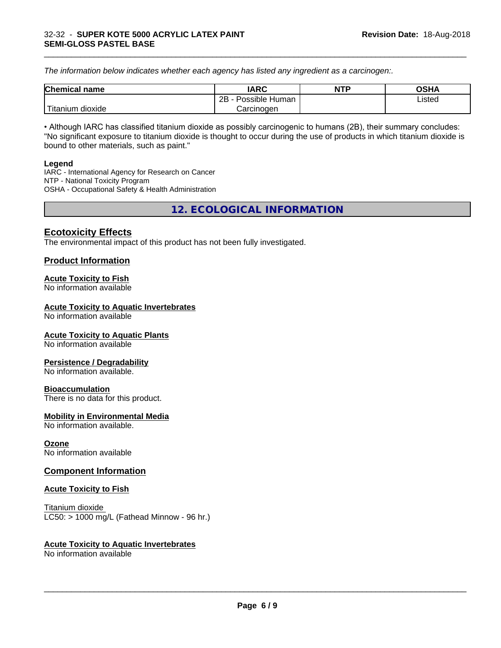*The information below indicateswhether each agency has listed any ingredient as a carcinogen:.*

| <b>Chemical</b><br>name  | <b>IARC</b>                    | <b>NTP</b> | <b>OSHA</b> |
|--------------------------|--------------------------------|------------|-------------|
|                          | . .<br>2B<br>Possible<br>Human |            | Listed<br>. |
| .<br>dioxide<br>⊺itanium | Carcinogen                     |            |             |

\_\_\_\_\_\_\_\_\_\_\_\_\_\_\_\_\_\_\_\_\_\_\_\_\_\_\_\_\_\_\_\_\_\_\_\_\_\_\_\_\_\_\_\_\_\_\_\_\_\_\_\_\_\_\_\_\_\_\_\_\_\_\_\_\_\_\_\_\_\_\_\_\_\_\_\_\_\_\_\_\_\_\_\_\_\_\_\_\_\_\_\_\_

• Although IARC has classified titanium dioxide as possibly carcinogenic to humans (2B), their summary concludes: "No significant exposure to titanium dioxide is thought to occur during the use of products in which titanium dioxide is bound to other materials, such as paint."

#### **Legend**

IARC - International Agency for Research on Cancer NTP - National Toxicity Program OSHA - Occupational Safety & Health Administration

**12. ECOLOGICAL INFORMATION**

#### **Ecotoxicity Effects**

The environmental impact of this product has not been fully investigated.

#### **Product Information**

#### **Acute Toxicity to Fish**

No information available

#### **Acute Toxicity to Aquatic Invertebrates**

No information available

#### **Acute Toxicity to Aquatic Plants**

No information available

#### **Persistence / Degradability**

No information available.

#### **Bioaccumulation**

There is no data for this product.

#### **Mobility in Environmental Media**

No information available.

#### **Ozone**

No information available

#### **Component Information**

#### **Acute Toxicity to Fish**

Titanium dioxide  $LC50:$  > 1000 mg/L (Fathead Minnow - 96 hr.)

#### **Acute Toxicity to Aquatic Invertebrates**

No information available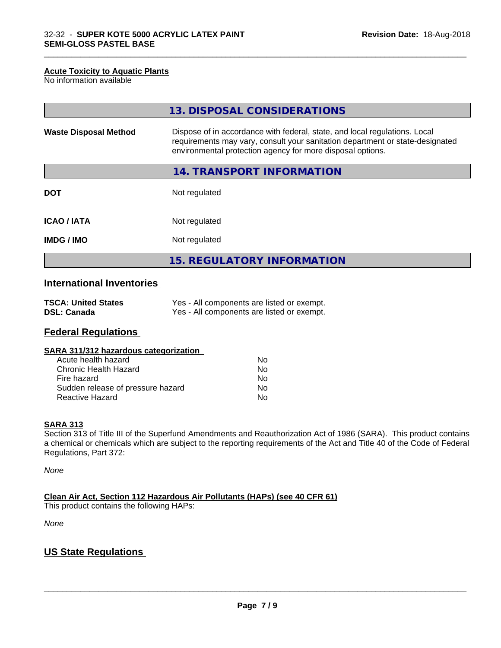#### **Acute Toxicity to Aquatic Plants**

No information available

|                              | 13. DISPOSAL CONSIDERATIONS                                                                                                                                                                                               |
|------------------------------|---------------------------------------------------------------------------------------------------------------------------------------------------------------------------------------------------------------------------|
| <b>Waste Disposal Method</b> | Dispose of in accordance with federal, state, and local regulations. Local<br>requirements may vary, consult your sanitation department or state-designated<br>environmental protection agency for more disposal options. |
|                              | 14. TRANSPORT INFORMATION                                                                                                                                                                                                 |
| <b>DOT</b>                   | Not regulated                                                                                                                                                                                                             |
| <b>ICAO/IATA</b>             | Not regulated                                                                                                                                                                                                             |
| <b>IMDG/IMO</b>              | Not regulated                                                                                                                                                                                                             |
|                              | <b>15. REGULATORY INFORMATION</b>                                                                                                                                                                                         |

\_\_\_\_\_\_\_\_\_\_\_\_\_\_\_\_\_\_\_\_\_\_\_\_\_\_\_\_\_\_\_\_\_\_\_\_\_\_\_\_\_\_\_\_\_\_\_\_\_\_\_\_\_\_\_\_\_\_\_\_\_\_\_\_\_\_\_\_\_\_\_\_\_\_\_\_\_\_\_\_\_\_\_\_\_\_\_\_\_\_\_\_\_

#### **International Inventories**

| <b>TSCA: United States</b> | Yes - All components are listed or exempt. |
|----------------------------|--------------------------------------------|
| <b>DSL: Canada</b>         | Yes - All components are listed or exempt. |

### **Federal Regulations**

| SARA 311/312 hazardous categorization |    |  |
|---------------------------------------|----|--|
| Acute health hazard                   | Nο |  |
| Chronic Health Hazard                 | Nο |  |
| Fire hazard                           | Nο |  |
| Sudden release of pressure hazard     | N٥ |  |

Reactive Hazard No

#### **SARA 313**

Section 313 of Title III of the Superfund Amendments and Reauthorization Act of 1986 (SARA). This product contains a chemical or chemicals which are subject to the reporting requirements of the Act and Title 40 of the Code of Federal Regulations, Part 372:

*None*

**Clean Air Act,Section 112 Hazardous Air Pollutants (HAPs) (see 40 CFR 61)**

This product contains the following HAPs:

*None*

#### **US State Regulations**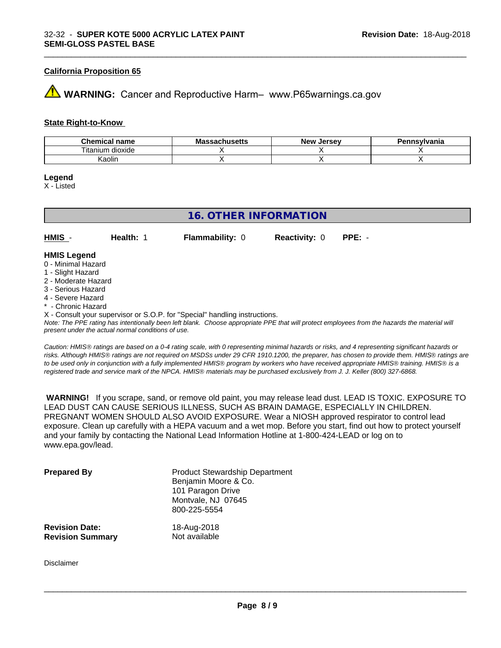#### **California Proposition 65**

# **AN** WARNING: Cancer and Reproductive Harm– www.P65warnings.ca.gov

#### **State Right-to-Know**

| Chemical<br>name     | - -<br>Ma<br>atilystus – | Jersev<br><b>Nev</b> | าnsvlvania |
|----------------------|--------------------------|----------------------|------------|
| l itanium<br>dioxide |                          |                      |            |
| Kaolin               |                          |                      |            |

\_\_\_\_\_\_\_\_\_\_\_\_\_\_\_\_\_\_\_\_\_\_\_\_\_\_\_\_\_\_\_\_\_\_\_\_\_\_\_\_\_\_\_\_\_\_\_\_\_\_\_\_\_\_\_\_\_\_\_\_\_\_\_\_\_\_\_\_\_\_\_\_\_\_\_\_\_\_\_\_\_\_\_\_\_\_\_\_\_\_\_\_\_

#### **Legend**

X - Listed

| <b>16. OTHER INFORMATION</b> |           |                                                                                 |                      |          |  |  |  |
|------------------------------|-----------|---------------------------------------------------------------------------------|----------------------|----------|--|--|--|
| HMIS -                       | Health: 1 | <b>Flammability: 0</b>                                                          | <b>Reactivity: 0</b> | $PPE: -$ |  |  |  |
| <b>HMIS Legend</b>           |           |                                                                                 |                      |          |  |  |  |
| 0 - Minimal Hazard           |           |                                                                                 |                      |          |  |  |  |
| 1 - Slight Hazard            |           |                                                                                 |                      |          |  |  |  |
| 2 - Moderate Hazard          |           |                                                                                 |                      |          |  |  |  |
| 3 - Serious Hazard           |           |                                                                                 |                      |          |  |  |  |
| 4 - Severe Hazard            |           |                                                                                 |                      |          |  |  |  |
| * - Chronic Hazard           |           |                                                                                 |                      |          |  |  |  |
|                              |           | $X$ - Consult your supervisor or $S \cap P$ for "Special" handling instructions |                      |          |  |  |  |

*Note: The PPE rating has intentionally been left blank. Choose appropriate PPE that will protect employees from the hazards the material will present under the actual normal conditions of use.*  $\lambda$  - Consult your supervisor or S.O.P. for "Special" handling instructions.

*Caution: HMISÒ ratings are based on a 0-4 rating scale, with 0 representing minimal hazards or risks, and 4 representing significant hazards or risks. Although HMISÒ ratings are not required on MSDSs under 29 CFR 1910.1200, the preparer, has chosen to provide them. HMISÒ ratings are to be used only in conjunction with a fully implemented HMISÒ program by workers who have received appropriate HMISÒ training. HMISÒ is a registered trade and service mark of the NPCA. HMISÒ materials may be purchased exclusively from J. J. Keller (800) 327-6868.*

 **WARNING!** If you scrape, sand, or remove old paint, you may release lead dust. LEAD IS TOXIC. EXPOSURE TO LEAD DUST CAN CAUSE SERIOUS ILLNESS, SUCH AS BRAIN DAMAGE, ESPECIALLY IN CHILDREN. PREGNANT WOMEN SHOULD ALSO AVOID EXPOSURE.Wear a NIOSH approved respirator to control lead exposure. Clean up carefully with a HEPA vacuum and a wet mop. Before you start, find out how to protect yourself and your family by contacting the National Lead Information Hotline at 1-800-424-LEAD or log on to www.epa.gov/lead.

| <b>Prepared By</b>      | <b>Product Stewardship Department</b><br>Benjamin Moore & Co.<br>101 Paragon Drive<br>Montvale, NJ 07645<br>800-225-5554 |
|-------------------------|--------------------------------------------------------------------------------------------------------------------------|
| <b>Revision Date:</b>   | 18-Aug-2018                                                                                                              |
| <b>Revision Summary</b> | Not available                                                                                                            |

Disclaimer